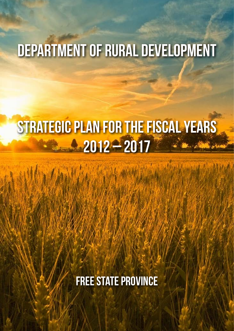# Department of Rural Development

# STRATEGIC PLAN FOR THE FISCAL YEARS **2012 – 2017**

**FREE STATE PROVINCE**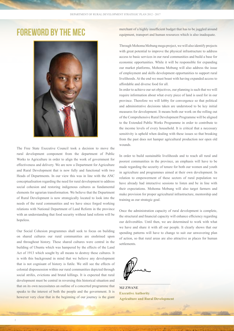

The Free State Executive Council took a decision to move the rural development component from the department of Public Works to Agriculture in order to align the work of government for effectiveness and delivery. We are now a Department for Agriculture and Rural Development that is now fully and functional with two Heads of Departments. In our view this was in line with the ANC conceptualisation regarding the need for rural development to address social cohesion and restoring indigenous cultures as fundamental elements for agrarian transformation. We believe that the Department of Rural Development is now strategically located to look into the needs of the rural communities and we have since forged working relations with National Department of Land Reform in the province with an understanding that food security without land reform will be hopeless.

Our Social Cohesion programmes shall seek to focus on building on shared cultures our rural communities are enshrined upon and throughout history. These shared cultures were central in the building of Ubuntu which was hampered by the effects of the Land Act of 1913 which sought by all means to destroy these cultures. It is with this background in mind that we believe any development that is not cognisant of history is futile. We still see the effects of colonial dispossession within our rural communities depicted through social strifes, evictions and brutal killings. It is expected that rural development must be central in reversing this historical situation and that on its own necessitates an outline of a concerted programme that speaks to the interest of both the people and the government. It is however very clear that in the beginning of our journey is the giant

**FOREWORD BY THE MEC** merchant of a highly insufficient budget that has to be juggled around<br>equipment transport and human resources which is also inadequate equipment, transport and human resources which is also inadequate.

> Through Mohoma Mobung mega project, we will also identify projects with great potential to improve the physical infrastructure to address access to basic services in our rural communities and build a base for economic opportunities. While it will be responsible for expanding our market platforms, Mohoma Mobung will also address the issue of employment and skills development opportunities to support rural livelihoods. At the end we must boast with having expanded access to affordable and diverse food for all.

> In order to achieve our set objectives, our planning is such that we will require information about what every piece of land is used for in our province. Therefore we will lobby for convergence so that political and administrative decisions taken are understood to be key initial measures for development. It means both our work on the rolling out of the Comprehensive Rural Development Programme will be aligned to the Extended Public Works Programme in order to contribute to the income levels of every household. It is critical that a necessary sensitivity is upheld when dealing with these issues so that breaking from the past does not hamper agricultural production nor open old wounds.

> In order to build sustainable livelihoods and to reach all rural and poorest communities in the province, an emphasis will have to be made regarding the security of tenure for both our women and youth in agriculture and programmes aimed at their own development. In relation to empowerment of these sectors of rural population we have already had interactive sessions to listen and be in line with their expectations. Mohoma Mobung will also target farmers and make provision for proper agricultural infrastructure, mentorship and training as our strategic goal.

> Once the administration capacity of rural development is complete, the structural and financial capacity will enhance efficiency regarding our deliverables. Until then, we are determined to work with what we have and share it with all our people. It clearly shows that our spending patterns will have to change to suit our unwavering plan of action, so that rural areas are also attractive as places for human settlements.

**MJ ZWANE Executive Authority Agriculture and Rural Development**

 $\mathcal{L}=\mathcal{L}=\mathcal{L}=\mathcal{L}=\mathcal{L}=\mathcal{L}=\mathcal{L}=\mathcal{L}=\mathcal{L}=\mathcal{L}=\mathcal{L}=\mathcal{L}=\mathcal{L}=\mathcal{L}=\mathcal{L}=\mathcal{L}=\mathcal{L}=\mathcal{L}=\mathcal{L}=\mathcal{L}=\mathcal{L}=\mathcal{L}=\mathcal{L}=\mathcal{L}=\mathcal{L}=\mathcal{L}=\mathcal{L}=\mathcal{L}=\mathcal{L}=\mathcal{L}=\mathcal{L}=\mathcal{L}=\mathcal{L}=\mathcal{L}=\mathcal{L}=\mathcal{L}=\mathcal{$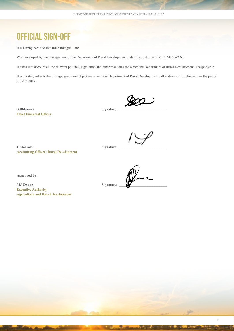## OFFICIAL SIGN-OFF

It is hereby certified that this Strategic Plan:

Was developed by the management of the Department of Rural Development under the guidance of MEC MJ ZWANE.

It takes into account all the relevant policies, legislation and other mandates for which the Department of Rural Development is responsible.

It accurately reflects the strategic goals and objectives which the Department of Rural Development will endeavour to achieve over the period 2012 to 2017.

S Dhlamini Signature: **Chief Financial Officer**

L Moorosi Signature: **Accounting Officer: Rural Development**

3

**Approved by:**

**MJ Zwane** Signature: **Executive Authority Agriculture and Rural Development**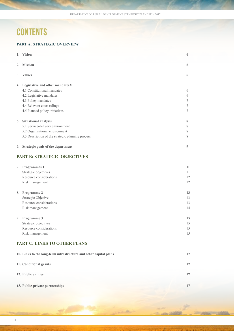# **CONTENTS**

4

### **PART A: STRATEGIC OVERVIEW**

| 1. Vision                                                         | 6                |
|-------------------------------------------------------------------|------------------|
| 2. Mission                                                        | 6                |
| 3. Values                                                         | 6                |
| 4. Legislative and other mandatesX                                |                  |
| 4.1 Constitutional mandates                                       | 6                |
| 4.2 Legislative mandates                                          | 6                |
| 4.3 Policy mandates                                               | $\tau$           |
| 4.4 Relevant court rulings                                        | $\boldsymbol{7}$ |
| 4.5 Planned policy initiatives                                    | $\tau$           |
| 5. Situational analysis                                           | $\bf 8$          |
| 5.1 Service-delivery environment                                  | $\,$ $\,$        |
| 5.2 Organisational environment                                    | 8                |
| 5.3 Description of the strategic planning process                 | $\,$ $\,$        |
| 6. Strategic goals of the department                              | 9                |
| <b>PART B: STRATEGIC OBJECTIVES</b>                               |                  |
| 7. Programmes 1                                                   | 11               |
| Strategic objectives                                              | 11               |
| Resource considerations                                           | 12               |
| Risk management                                                   | 12               |
| 8. Programme 2                                                    | 13               |
| Strategic Objecive                                                | 13               |
| Resource considerations                                           | 13               |
| Risk management                                                   | 14               |
| 9. Programme 3                                                    | 15               |
| Strategic objectives                                              | 15               |
| Resource considerations                                           | 15               |
| Risk management                                                   | 15               |
| <b>PART C: LINKS TO OTHER PLANS</b>                               |                  |
| 10. Links to the long-term infrastructure and other capital plans | 17               |
| 11. Conditional grants                                            | 17               |
| 12. Public entities                                               | 17               |
| 13. Public-private partnerships                                   | 17               |
|                                                                   |                  |

ä.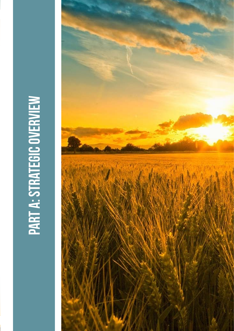# **PART A: STRATEGIC OVERVIEW** PART a: strategic overview

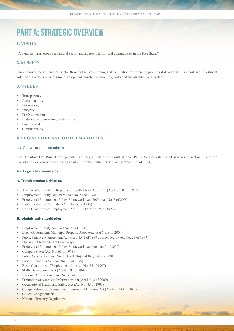# PART A: STRATEGIC OVERVIEW

### **1. Vision**

"A dynamic, prosperous agricultural sector and a better life for rural communities in the Free State."

### **2. Mission**

"To empower the agricultural sector through the provisioning and facilitation of efficient agricultural development support and investment solution sin order to ensure rural development, constant economic growth and sustainable livelihoods."

### **3. Values**

- Transparency;
- Accountability;
- Dedication:
- Integrity;
- Professionalism;
- Enduring and rewarding relationships:
- Passion: and
- Confidentiality

### **4. Legislative and other mandates**

### **4.1 Constitutional mandates**

The Department of Rural Development is an integral part of the South African Public Service established in terms of section 197 of the Constitution as read with section 7(1) and 7(2) of the Public Service Act (Act No. 103 of 1994).

### **4.2 Legislative mandates**

### **A. Transformation legislation.**

- The Constitution of the Republic of South Africa Act, 1996 (Act No. 108 of 1996)
- Employment Equity Act, 1998 (Act No. 55 of 1998)
- Preferential Procurement Policy Framework Act, 2000 (Act No. 5 of 2000)
- Labour Relations Act, 1995 (Act No. 66 of 1995)
- Basic Conditions of Employment Act, 1997 (Act No. 75 of 1997)

### **B. Administrative Legislation**

- • Employment Equity Act (Act No. 55 of 1998)
- Local Government: Municipal Property Rates Act, (Act No. 6 of 2004)
- Public Finance Management Act (Act No. 1 of 1999 as amended by Act No. 29 of 1999)
- Division of Revenue Act (Annually)
- Preferential Procurement Policy Framework Act (Act No. 5 of 2000)
- Companies Act (Act No. 61 of 1973)
- Public Service Act (Act No. 103 of 1994) and Regulations, 2001
- Labour Relations Act (Act No. 66 of 1995)
- Basic Conditions of Employment Act (Act No. 75 of 1997)
- Skills Development Act (Act No. 97 of 1998)
- National Archives Act (Act No. 43 of 1996)
- Promotion of Access to Information Act (Act No. 2 of 2000)
- Occupational Health and Safety Act (Act No. 85 of 1993)
- Compensation for Occupational Injuries and Diseases Act (Act No. 130 of 1993)
- Collective Agreements
- **National Treasury Regulations**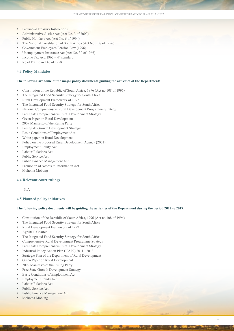- Provincial Treasury Instructions
- Administrative Justice Act (Act No. 3 of 2000)
- Public Holidays Act (Act No. 6 of 1994)
- The National Constitution of South Africa (Act No. 108 of 1996)
- Government Employees Pension Law (1996)
- Unemployment Insurance Act (Act No. 30 of 1966)
- Income Tax Act,  $1962 4$ <sup>th</sup> standard
- Road Traffic Act 46 of 1998

### **4.3 Policy Mandates**

### **The following are some of the major policy documents guiding the activities of the Department:**

- Constitution of the Republic of South Africa, 1996 (Act no.108 of 1996)
- The Integrated Food Security Strategy for South Africa
- Rural Development Framework of 1997
- The Integrated Food Security Strategy for South Africa
- National Comprehensive Rural Development Programme Strategy
- Free State Comprehensive Rural Development Strategy
- Green Paper on Rural Development
- 2009 Manifesto of the Ruling Party
- Free State Growth Development Strategy
- Basic Conditions of Employment Act
- White paper on Rural Development
- Policy on the proposed Rural Development Agency (2001)
- **Employment Equity Act**
- Labour Relations Act
- Public Service Act
- Public Finance Management Act
- Promotion of Access to Information Act
- Mohoma Mobung

### **4.4 Relevant court rulings**

N/A

### **4.5 Planned policy initiatives**

### **The following policy documents will be guiding the activities of the Department during the period 2012 to 2017:**

7

- Constitution of the Republic of South Africa, 1996 (Act no.108 of 1996)
- The Integrated Food Security Strategy for South Africa
- Rural Development Framework of 1997
- AgriBEE Charter
- • The Integrated Food Security Strategy for South Africa
- Comprehensive Rural Development Programme Strategy
- Free State Comprehensive Rural Development Strategy
- Industrial Policy Action Plan (IPAP2) 2011 2013
- Strategic Plan of the Department of Rural Development
- Green Paper on Rural Development
- 2009 Manifesto of the Ruling Party
- Free State Growth Development Strategy
- Basic Conditions of Employment Act
- Employment Equity Act
- Labour Relations Act
- Public Service Act
- Public Finance Management Act
- Mohoma Mobung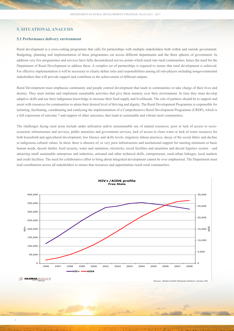### **5. Situationalanalysis**

### **5.1 Performance delivery environment**

Rural development is a cross-cutting programme that calls for partnerships with multiple stakeholders both within and outside government. Budgeting, planning and implementation of these programmes cut across different departments and the three spheres of government. In addition very few programmes and services have fully decentralized service points which reach into rural communities, hence the need for the Department of Rural Development to address these. A complex set of partnerships is required to ensure that rural development is achieved. For effective implementation it will be necessary to clearly define roles and responsibilities among all role-players including nongovernmental stakeholders that will provide support and contribute to the achievement of different outputs.

Rural Development must emphasise community and people centred development that leads to communities to take charge of their lives and destiny. They must initiate and implement sustainable activities that give them mastery over their environment. In time they must develop adaptive skills and use their indigenous knowledge to increase their food supply and livelihoods. The role of partners should be to support and assist with resources for communities to attain their desired level of thriving and dignity. The Rural Development Programme is responsible for initiating, facilitating, coordinating and catalysing the implementation of a Comprehensive Rural Development Programme (CRDP), which is a full expression of outcome 7 and support of other outcomes, that leads to sustainable and vibrant rural communities.

The challenges facing rural areas include under utilization and/or unsustainable use of natural resources; poor or lack of access to socioeconomic infrastructure and services, public amenities and government services, lack of access to clean water or lack of water resources for both household and agricultural development; low literacy and skills levels, migratory labour practices, decay of the social fabric and decline in indigenous cultural values. In short, there is absence of, or very poor infrastructure and institutional support for meeting minimum or basic human needs, decent shelter, food security, water and sanitation, electricity, social facilities and amenities and decent logistics system – and attracting small sustainable enterprises and industries, artisanal and other technical skills, entrepreneurs, rural-urban linkages, local markets and credit facilities. The need for collaborative effort to bring about integrated development cannot be over emphasised. The Department must lead coordination across all stakeholders to ensure that resources and opportunities reach rural communities.



Source: Global Insight Regional eXplorer version 451

**HIV+/AIDS profile Free State**

**GLOBAL INSIGHT**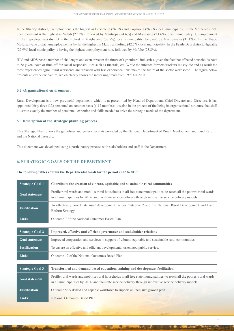In the Xhariep district, unemployment is the highest in Letsemeng (26.9%) and Kopanong (26.7%) local municipality. In the Motheo district, unemployment is the highest in Naledi (27.6%), followed by Mantsopa (24.6%) and Mangaung (23.4%) local municipality. Unemployment in the Lejweleputswa district is the highest in Matjhabeng (37.5%) local municipality, followed by Masilonyana (31.1%). In the Thabo Mofutsanyane district unemployment is by far the highest in Maluti a Phofung (42.7%) local municipality. In the Fezile Dabi district, Ngwathe (27.9%) local municipality is having the highest unemployment rate, followed by Mafube (23.8%).

HIV and AIDS pose a number of challenges and even threaten the future of agricultural industries, given the fact that affected households have to be given leave or time off for social responsibilities such as funerals, etc. While the infected farmers/workers mostly die and as result the most experienced agricultural workforce are replaced with less experience, thus makes the future of the sector worrisome. The figure below presents an overview picture, which clearly shows the increasing trend from 1996 till 2008.

### **5.2 Organisational environment**

Rural Development is a new provincial department, which is at present led by Head of Department, Chief Director and Directors. It has appointed thirty three (32) personnel on contract basis (6-12 months); it is also in the process of finalizing its organisational structure that shall illustrate exactly the number of personnel, expertise and skills needed to drive the strategic needs of the department.

### **5.3 Description of the strategic planning process**

This Strategic Plan follows the guidelines and generic formats provided by the National Department of Rural Development and Land Reform, and the National Treasury.

This document was developed using a participatory process with stakeholders and staff in the Department.

### **6. Strategic goals of the department**

### **The following tables contain the Departmental Goals for the period 2012 to 2017:**

| <b>Strategic Goal 1</b>                                                                           | Coordinate the creation of vibrant, equitable and sustainable rural communities                                                                                                                                                        |  |
|---------------------------------------------------------------------------------------------------|----------------------------------------------------------------------------------------------------------------------------------------------------------------------------------------------------------------------------------------|--|
| <b>Goal statement</b>                                                                             | Profile rural wards and mobilise rural households in all free state municipalities, to reach all the poorest rural wards<br>in all municipalities by 2014, and facilitate service delivery through innovative service delivery models. |  |
| <b>Justification</b>                                                                              | To effectively coordinate rural development, as per Outcome 7 and the National Rural Development and Land<br>Reform Strategy.                                                                                                          |  |
| <b>Links</b>                                                                                      | Outcome 7 of the National Outcomes Based Plan.                                                                                                                                                                                         |  |
|                                                                                                   |                                                                                                                                                                                                                                        |  |
| <b>Strategic Goal 2</b><br>Improved, effective and efficient governance and stakeholder relations |                                                                                                                                                                                                                                        |  |
| <b>Goal statement</b>                                                                             | Improved cooperation and services in support of vibrant, equitable and sustainable rural communities.                                                                                                                                  |  |
| <b>Justification</b>                                                                              | To ensure an effective and efficient developmental orientated public service.                                                                                                                                                          |  |
| <b>Links</b>                                                                                      | Outcome 12 of the National Outcomes Based Plan.                                                                                                                                                                                        |  |
|                                                                                                   |                                                                                                                                                                                                                                        |  |
| <b>Strategic Goal 3</b>                                                                           | Transformed and demand based education, training and development facilitation                                                                                                                                                          |  |
| <b>Goal statement</b>                                                                             | Profile rural wards and mobilise rural households in all free state municipalities, to reach all the poorest rural wards<br>in all municipalities by 2014, and facilitate service delivery through innovative service delivery models. |  |
| <b>Justification</b>                                                                              | Outcome 5: A skilled and capable workforce to support an inclusive growth path.                                                                                                                                                        |  |
| Links                                                                                             | National Outcomes Based Plan.                                                                                                                                                                                                          |  |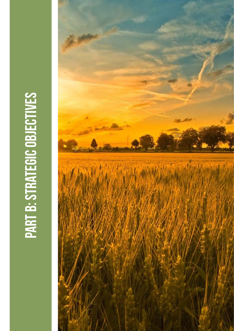# PART B: STRATEGIC OBJECTIVES PART b: strategic objectives

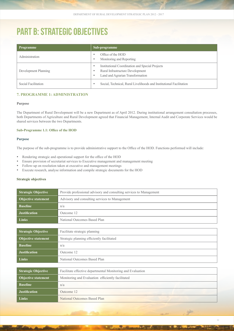## PART B: STRATEGIC OBJECTIVES

| <b>Programme</b>     | Sub-programme                                                                                                                |
|----------------------|------------------------------------------------------------------------------------------------------------------------------|
| Administration       | Office of the HOD<br>Monitoring and Reporting<br>٠                                                                           |
| Development Planning | Institutional Coordination and Special Projects<br>Rural Infrastructure Development<br>Land and Agrarian Transformation<br>٠ |
| Social Facilitation  | Social, Technical, Rural Livelihoods and Institutional Facilitation                                                          |

### **7. Programme 1: Administration**

### **Purpose**

The Department of Rural Development will be a new Department as of April 2012. During institutional arrangement consultation processes, both Departments of Agriculture and Rural Development agreed that Financial Management, Internal Audit and Corporate Services would be shared services between the two Departments.

### **Sub-Programme 1.1: Office of the HOD**

### **Purpose**

The purpose of the sub-programme is to provide administrative support to the Office of the HOD. Functions performed will include:

- Rendering strategic and operational support for the office of the HOD
- Ensure provision of secretariat services to Executive management and management meeting
- Follow-up on resolution taken at executive and management meetings
- • Execute research, analyse information and compile strategic documents for the HOD

### **Strategic objectives**

| <b>Strategic Objective</b><br>Provide professional advisory and consulting services to Management |                                                   |  |
|---------------------------------------------------------------------------------------------------|---------------------------------------------------|--|
| Advisory and consulting services to Management<br><b>Objective statement</b>                      |                                                   |  |
| <b>Baseline</b><br>n/a                                                                            |                                                   |  |
| <b>Justification</b>                                                                              | Outcome 12                                        |  |
| Links                                                                                             | National Outcomes Based Plan                      |  |
|                                                                                                   |                                                   |  |
| <b>Strategic Objective</b><br>Facilitate strategic planning                                       |                                                   |  |
| <b>Objective statement</b><br>Strategic planning efficiently facilitated                          |                                                   |  |
| <b>Baseline</b>                                                                                   | n/a                                               |  |
| <b>Justification</b>                                                                              | Outcome 12                                        |  |
| <b>Links</b>                                                                                      | National Outcomes Based Plan                      |  |
|                                                                                                   |                                                   |  |
| <b>Strategic Objective</b><br>Facilitate effective departmental Monitoring and Evaluation         |                                                   |  |
| <b>Objective statement</b>                                                                        | Monitoring and Evaluation efficiently facilitated |  |
| <b>Baseline</b>                                                                                   | n/a                                               |  |
| <b>Justification</b>                                                                              | Outcome 12                                        |  |
| <b>Links</b><br>National Outcomes Based Plan                                                      |                                                   |  |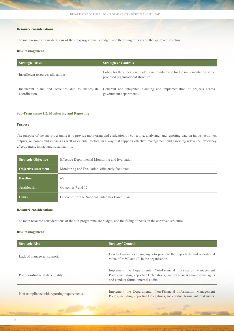### **Resource considerations**

The main resource considerations of the sub-programme is budget, and the filling of posts on the approved structure.

### **Risk management**

| <b>Strategic Risks</b>                                             | <b>Strategies / Controls</b>                                                                                           |  |
|--------------------------------------------------------------------|------------------------------------------------------------------------------------------------------------------------|--|
| Insufficient resources allocations                                 | Lobby for the allocation of additional funding and for the implementation of the<br>proposed organisational structure. |  |
| Incoherent plans and activities due to inadequate<br>coordination. | Coherent and integrated planning and implementation of projects across<br>government departments.                      |  |

### **Sub-Programme 1.2: Monitoring and Reporting**

### **Purpose**

The purpose of the sub-programme is to provide monitoring and evaluation by collecting, analysing, and reporting data on inputs, activities, outputs, outcomes and impacts as well as external factors, in a way that supports effective management and assessing relevance, efficiency, effectiveness, impact and sustainability.

| <b>Strategic Objective</b><br>Effective Departmental Monitoring and Evaluation  |                                                |
|---------------------------------------------------------------------------------|------------------------------------------------|
| Monitoring and Evaluation efficiently facilitated<br><b>Objective statement</b> |                                                |
| <b>Baseline</b>                                                                 | n/a                                            |
| <b>Justification</b>                                                            | Outcomes 7 and 12                              |
| <b>Links</b>                                                                    | Outcome 7 of the National Outcomes Based Plan. |

### **Resource considerations**

The main resource considerations of the sub-programme are budget, and the filling of posts on the approved structure.

### **Risk management**

| <b>Strategic Risk</b>                       | <b>Strategy/Control</b>                                                                                                                                                             |
|---------------------------------------------|-------------------------------------------------------------------------------------------------------------------------------------------------------------------------------------|
| Lack of managerial support.                 | Conduct awareness campaigns to promote the importants and operational<br>value of M&E and SP in the organisation.                                                                   |
| Poor non-financial data quality.            | Implement the Departmental Non-Financial Information Management<br>Policy, including Reporting Delegations, raise awareness amongst managers<br>and conduct formal internal audits. |
| Non-compliance with reporting requirements. | Implement the Departmental Non-Financial Information Management<br>Policy, including Reporting Delegations, and conduct formal internal audits.                                     |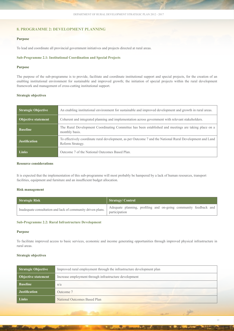### **8. Programme 2: Development Planning**

### **Purpose**

To lead and coordinate all provincial government initiatives and projects directed at rural areas.

### **Sub-Programme 2.1: Institutional Coordination and Special Projects**

### **Purpose**

The purpose of the sub-programme is to provide, facilitate and coordinate institutional support and special projects, for the creation of an enabling institutional environment for sustainable and improved growth; the initiation of special projects within the rural development framework and management of cross-cutting institutional support.

### **Strategic objectives**

| <b>Strategic Objective</b> | An enabling institutional environment for sustainable and improved development and growth in rural areas.                     |  |
|----------------------------|-------------------------------------------------------------------------------------------------------------------------------|--|
| <b>Objective statement</b> | Coherent and integrated planning and implementation across government with relevant stakeholders.                             |  |
| <b>Baseline</b>            | The Rural Development Coordinating Committee has been established and meetings are taking place on a<br>monthly basis.        |  |
| <b>Justification</b>       | To effectively coordinate rural development, as per Outcome 7 and the National Rural Development and Land<br>Reform Strategy. |  |
| <b>Links</b>               | Outcome 7 of the National Outcomes Based Plan.                                                                                |  |

### **Resource considerations**

It is expected that the implementation of this sub-programme will most probably be hampered by a lack of human resources, transport facilities, equipment and furniture and an insufficient budget allocation.

### **Risk management**

| Strategic Risk                                              | Strategy/Control                                                                  |
|-------------------------------------------------------------|-----------------------------------------------------------------------------------|
| Inadequate consultation and lack of community driven plans. | Adequate planning, profiling and on-going community feedback and<br>participation |

### **Sub-Programme 2.2: Rural Infrastructure Development**

### **Purpose**

To facilitate improved access to basic services, economic and income generating opportunities through improved physical infrastructure in rural areas.

### **Strategic objectives**

| <b>Strategic Objective</b><br>Improved rural employment through the infrastructure development plan |                              |
|-----------------------------------------------------------------------------------------------------|------------------------------|
| <b>Objective statement</b><br>Increase employment through infrastructure development                |                              |
| <b>Baseline</b>                                                                                     | n/a                          |
| <b>Justification</b>                                                                                | Outcome 7                    |
| <b>Links</b>                                                                                        | National Outcomes Based Plan |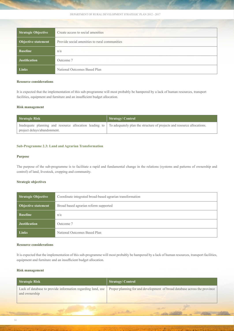Department of rural development strategic plan 2012 - 2017

| <b>Strategic Objective</b><br>Create access to social amenities             |                              |  |
|-----------------------------------------------------------------------------|------------------------------|--|
| <b>Objective statement</b><br>Provide social amenities to rural communities |                              |  |
| <b>Baseline</b>                                                             | n/a                          |  |
| <b>Justification</b>                                                        | Outcome 7                    |  |
| <b>Links</b>                                                                | National Outcomes Based Plan |  |

### **Resource considerations**

It is expected that the implementation of this sub-programme will most probably be hampered by a lack of human resources, transport facilities, equipment and furniture and an insufficient budget allocation.

### **Risk management**

| Strategic Risk              | <b>Strategy/Control</b>                                                                                                       |
|-----------------------------|-------------------------------------------------------------------------------------------------------------------------------|
|                             | Inadequate planning and resource allocation leading to To adequately plan the structure of projects and resource allocations. |
| project delays/abandonment. |                                                                                                                               |

### **Sub-Programme 2.3: Land and Agrarian Transformation**

### **Purpose**

The purpose of the sub-programme is to facilitate a rapid and fundamental change in the relations (systems and patterns of ownership and control) of land, livestock, cropping and community.

### **Strategic objectives**

| <b>Strategic Objective</b> | Coordinate integrated broad-based agrarian transformation |  |
|----------------------------|-----------------------------------------------------------|--|
| <b>Objective statement</b> | Broad based agrarian reform supported                     |  |
| <b>Baseline</b>            | n/a                                                       |  |
| <b>Justification</b>       | Outcome 7                                                 |  |
| <b>Links</b>               | National Outcomes Based Plan                              |  |

### **Resource considerations**

It is expected that the implementation of this sub-programme will most probably be hampered by a lack of human resources, transport facilities, equipment and furniture and an insufficient budget allocation.

### **Risk management**

| Strategic Risk                                                               | <b>Strategy/Control</b>                                                   |
|------------------------------------------------------------------------------|---------------------------------------------------------------------------|
| Lack of database to provide information regarding land, use<br>and ownership | Proper planning for and development of broad database across the province |
|                                                                              |                                                                           |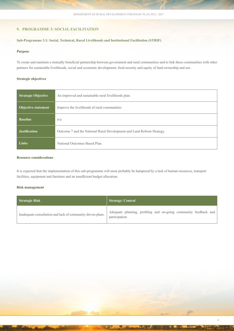### **9. Programme 3: Social Facilitation**

### **Sub-Programme 3.1: Social, Technical, Rural Livelihoods and Institutional Facilitation (STRIF)**

### **Purpose**

To create and maintain a mutually beneficial partnership between government and rural communities and to link these communities with other partners for sustainable livelihoods, social and economic development, food security and equity of land ownership and use.

### **Strategic objectives**

| <b>Strategic Objective</b> | An improved and sustainable rural livelihoods plan.                    |
|----------------------------|------------------------------------------------------------------------|
| <b>Objective statement</b> | Improve the livelihoods of rural communities                           |
| <b>Baseline</b>            | n/a                                                                    |
| <b>Justification</b>       | Outcome 7 and the National Rural Development and Land Reform Strategy. |
| <b>Links</b>               | National Outcomes Based Plan.                                          |

### **Resource considerations**

It is expected that the implementation of this sub-programme will most probably be hampered by a lack of human resources, transport facilities, equipment and furniture and an insufficient budget allocation.

### **Risk management**

| Strategic Risk                                              | <b>Strategy/Control</b>                                                           |
|-------------------------------------------------------------|-----------------------------------------------------------------------------------|
| Inadequate consultation and lack of community driven plans. | Adequate planning, profiling and on-going community feedback and<br>participation |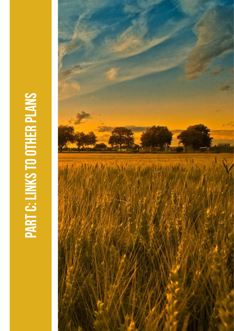# PART C: LINKS TO OTHER PLANS PART C: LINKS TO oTHER PLANS

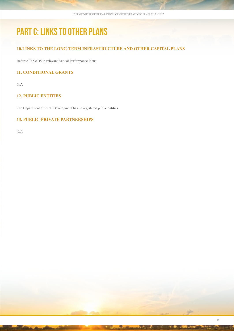## PART C: LINKS TO OTHER PLANS

### **10.Links to the long-term infrastructure and other capital plans**

Refer to Table B5 in relevant Annual Performance Plans.

### **11. Conditional grants**

N/A

### **12. Public entities**

The Department of Rural Development has no registered public entities.

### **13. Public-private partnerships**

N/A